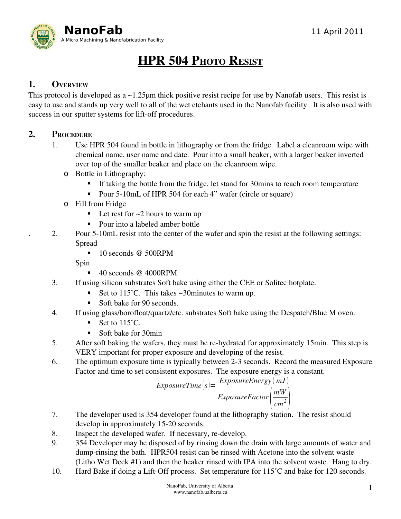

# HPR 504 PHOTO RESIST

#### 1. OVERVIEW

This protocol is developed as a ~1.25μm thick positive resist recipe for use by Nanofab users. This resist is easy to use and stands up very well to all of the wet etchants used in the Nanofab facility. It is also used with success in our sputter systems for lift-off procedures.

#### 2. PROCEDURE

- 1. Use HPR 504 found in bottle in lithography or from the fridge. Label a cleanroom wipe with chemical name, user name and date. Pour into a small beaker, with a larger beaker inverted over top of the smaller beaker and place on the cleanroom wipe.
	- o Bottle in Lithography:
		- If taking the bottle from the fridge, let stand for 30mins to reach room temperature
		- Pour 5-10mL of HPR 504 for each 4" wafer (circle or square)
	- o Fill from Fridge
		- $\blacksquare$  Let rest for ~2 hours to warm up
		- Pour into a labeled amber bottle
- 2. Pour 5-10mL resist into the center of the wafer and spin the resist at the following settings: Spread
	- $\blacksquare$  10 seconds @ 500RPM

Spin

- 40 seconds @ 4000RPM
- 3. If using silicon substrates Soft bake using either the CEE or Solitec hotplate.
	- Set to  $115^{\circ}$ C. This takes ~30minutes to warm up.
	- Soft bake for 90 seconds.
- 4. If using glass/borofloat/quartz/etc. substrates Soft bake using the Despatch/Blue M oven.
	- Set to  $115^{\circ}$ C.
	- Soft bake for 30min
- 5. After soft baking the wafers, they must be re-hydrated for approximately 15min. This step is VERY important for proper exposure and developing of the resist.
- 6. The optimum exposure time is typically between 23 seconds. Record the measured Exposure Factor and time to set consistent exposures. The exposure energy is a constant.

$$
ExposureTime(s) = \frac{ExposureEnergy(mJ)}{ExposureFactor\left(\frac{mW}{cm^2}\right)}
$$

- 7. The developer used is 354 developer found at the lithography station. The resist should develop in approximately 15-20 seconds.
- 8. Inspect the developed wafer. If necessary, re-develop.
- 9. 354 Developer may be disposed of by rinsing down the drain with large amounts of water and dump-rinsing the bath. HPR504 resist can be rinsed with Acetone into the solvent waste (Litho Wet Deck #1) and then the beaker rinsed with IPA into the solvent waste. Hang to dry.
- 10. Hard Bake if doing a Lift-Off process. Set temperature for 115<sup>°</sup>C and bake for 120 seconds.